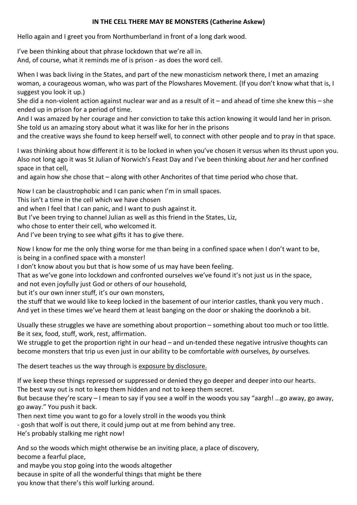## **IN THE CELL THERE MAY BE MONSTERS (Catherine Askew)**

Hello again and I greet you from Northumberland in front of a long dark wood.

I've been thinking about that phrase lockdown that we're all in. And, of course, what it reminds me of is prison - as does the word cell.

When I was back living in the States, and part of the new monasticism network there, I met an amazing woman, a courageous woman, who was part of the Plowshares Movement. (If you don't know what that is, I suggest you look it up.)

She did a non-violent action against nuclear war and as a result of it – and ahead of time she knew this – she ended up in prison for a period of time.

And I was amazed by her courage and her conviction to take this action knowing it would land her in prison. She told us an amazing story about what it was like for her in the prisons

and the creative ways she found to keep herself well, to connect with other people and to pray in that space.

I was thinking about how different it is to be locked in when you've chosen it versus when its thrust upon you. Also not long ago it was St Julian of Norwich's Feast Day and I've been thinking about *her* and her confined space in that cell,

and again how she chose that – along with other Anchorites of that time period who chose that.

Now I can be claustrophobic and I can panic when I'm in small spaces.

This isn't a time in the cell which we have chosen

and when I feel that I can panic, and I want to push against it.

But I've been trying to channel Julian as well as this friend in the States, Liz,

who chose to enter their cell, who welcomed it.

And I've been trying to see what gifts it has to give there.

Now I know for me the only thing worse for me than being in a confined space when I don't want to be, is being in a confined space with a monster!

I don't know about you but that is how some of us may have been feeling.

That as we've gone into lockdown and confronted ourselves we've found it's not just us in the space,

and not even joyfully just God or others of our household,

but it's our own inner stuff, it's our own monsters,

the stuff that we would like to keep locked in the basement of our interior castles, thank you very much . And yet in these times we've heard them at least banging on the door or shaking the doorknob a bit.

Usually these struggles we have are something about proportion – something about too much or too little. Be it sex, food, stuff, work, rest, affirmation.

We struggle to get the proportion right in our head – and un-tended these negative intrusive thoughts can become monsters that trip us even just in our ability to be comfortable *with* ourselves, *by* ourselves.

The desert teaches us the way through is exposure by disclosure.

If we keep these things repressed or suppressed or denied they go deeper and deeper into our hearts. The best way out is not to keep them hidden and not to keep them secret.

But because they're scary – I mean to say if you see a wolf in the woods you say "aargh! …go away, go away, go away." You push it back.

Then next time you want to go for a lovely stroll in the woods you think

- gosh that wolf is out there, it could jump out at me from behind any tree.

He's probably stalking me right now!

And so the woods which might otherwise be an inviting place, a place of discovery,

become a fearful place,

and maybe you stop going into the woods altogether

because in spite of all the wonderful things that might be there

you know that there's this wolf lurking around.